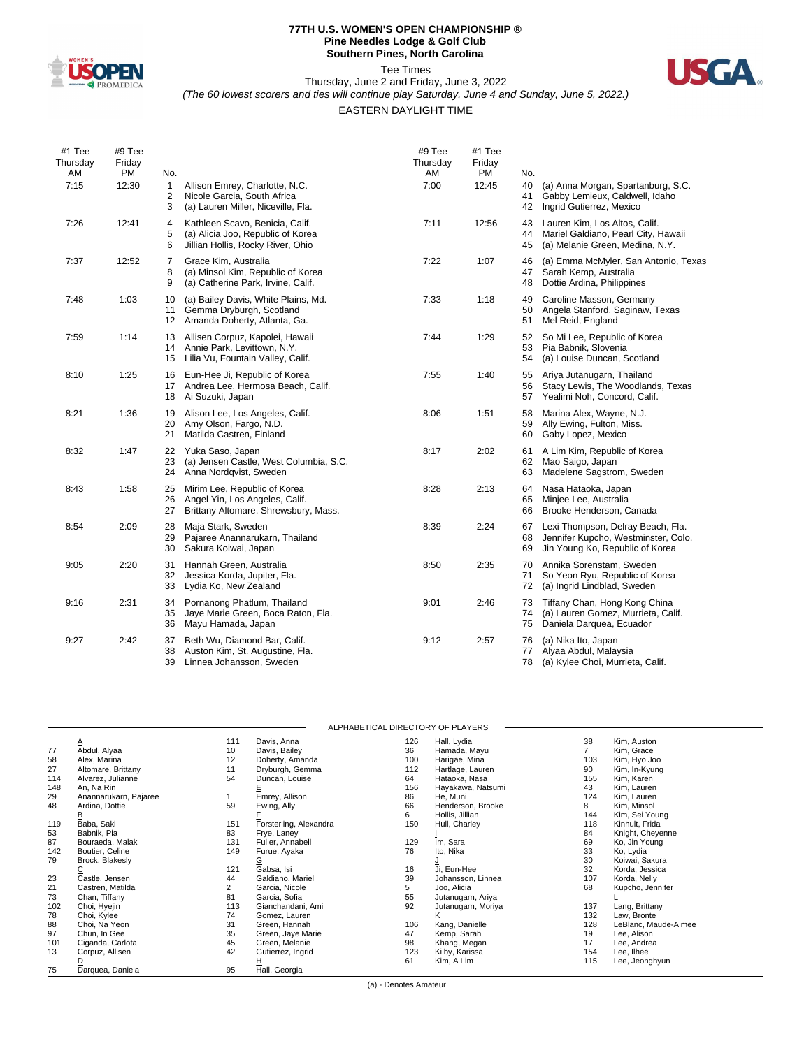

#### **77TH U.S. WOMEN'S OPEN CHAMPIONSHIP ® Pine Needles Lodge & Golf Club Southern Pines, North Carolina**

Tee Times



Thursday, June 2 and Friday, June 3, 2022 *(The 60 lowest scorers and ties will continue play Saturday, June 4 and Sunday, June 5, 2022.)*

## EASTERN DAYLIGHT TIME

| #1 Tee<br>Thursday<br>AM | #9 Tee<br>Friday<br><b>PM</b> | No.            |                                                                                                           | #9 Tee<br>Thursday<br>AM | #1 Tee<br>Friday<br><b>PM</b> | No.            |                                                                                                             |
|--------------------------|-------------------------------|----------------|-----------------------------------------------------------------------------------------------------------|--------------------------|-------------------------------|----------------|-------------------------------------------------------------------------------------------------------------|
| 7:15                     | 12:30                         | 1<br>2<br>3    | Allison Emrey, Charlotte, N.C.<br>Nicole Garcia, South Africa<br>(a) Lauren Miller, Niceville, Fla.       | 7:00                     | 12:45                         | 40<br>41<br>42 | (a) Anna Morgan, Spartanburg, S.C.<br>Gabby Lemieux, Caldwell, Idaho<br>Ingrid Gutierrez, Mexico            |
| 7:26                     | 12:41                         | 4<br>5<br>6    | Kathleen Scavo, Benicia, Calif.<br>(a) Alicia Joo, Republic of Korea<br>Jillian Hollis, Rocky River, Ohio | 7:11                     | 12:56                         | 43<br>44<br>45 | Lauren Kim, Los Altos, Calif.<br>Mariel Galdiano, Pearl City, Hawaii<br>(a) Melanie Green, Medina, N.Y.     |
| 7:37                     | 12:52                         | 7<br>8<br>9    | Grace Kim, Australia<br>(a) Minsol Kim, Republic of Korea<br>(a) Catherine Park, Irvine, Calif.           | 7:22                     | 1:07                          | 46<br>47<br>48 | (a) Emma McMyler, San Antonio, Texas<br>Sarah Kemp, Australia<br>Dottie Ardina, Philippines                 |
| 7:48                     | 1:03                          | 10<br>11<br>12 | (a) Bailey Davis, White Plains, Md.<br>Gemma Dryburgh, Scotland<br>Amanda Doherty, Atlanta, Ga.           | 7:33                     | 1:18                          | 49<br>50<br>51 | Caroline Masson, Germany<br>Angela Stanford, Saginaw, Texas<br>Mel Reid, England                            |
| 7:59                     | 1:14                          | 13<br>14<br>15 | Allisen Corpuz, Kapolei, Hawaii<br>Annie Park, Levittown, N.Y.<br>Lilia Vu, Fountain Valley, Calif.       | 7:44                     | 1:29                          | 52<br>53<br>54 | So Mi Lee, Republic of Korea<br>Pia Babnik, Slovenia<br>(a) Louise Duncan, Scotland                         |
| 8:10                     | 1:25                          | 16<br>17<br>18 | Eun-Hee Ji, Republic of Korea<br>Andrea Lee, Hermosa Beach, Calif.<br>Ai Suzuki, Japan                    | 7:55                     | 1:40                          | 55<br>56<br>57 | Ariya Jutanugarn, Thailand<br>Stacy Lewis, The Woodlands, Texas<br>Yealimi Noh, Concord, Calif.             |
| 8:21                     | 1:36                          | 19<br>20<br>21 | Alison Lee, Los Angeles, Calif.<br>Amy Olson, Fargo, N.D.<br>Matilda Castren, Finland                     | 8:06                     | 1:51                          | 58<br>59<br>60 | Marina Alex, Wayne, N.J.<br>Ally Ewing, Fulton, Miss.<br>Gaby Lopez, Mexico                                 |
| 8:32                     | 1:47                          | 22<br>23<br>24 | Yuka Saso, Japan<br>(a) Jensen Castle, West Columbia, S.C.<br>Anna Nordqvist, Sweden                      | 8:17                     | 2:02                          | 61<br>62<br>63 | A Lim Kim, Republic of Korea<br>Mao Saigo, Japan<br>Madelene Sagstrom, Sweden                               |
| 8:43                     | 1:58                          | 25<br>26<br>27 | Mirim Lee, Republic of Korea<br>Angel Yin, Los Angeles, Calif.<br>Brittany Altomare, Shrewsbury, Mass.    | 8:28                     | 2:13                          | 64<br>65<br>66 | Nasa Hataoka, Japan<br>Minjee Lee, Australia<br>Brooke Henderson, Canada                                    |
| 8:54                     | 2:09                          | 28<br>29<br>30 | Maja Stark, Sweden<br>Pajaree Anannarukarn, Thailand<br>Sakura Koiwai, Japan                              | 8:39                     | 2:24                          | 67<br>68<br>69 | Lexi Thompson, Delray Beach, Fla.<br>Jennifer Kupcho, Westminster, Colo.<br>Jin Young Ko, Republic of Korea |
| 9:05                     | 2:20                          | 31<br>32<br>33 | Hannah Green, Australia<br>Jessica Korda, Jupiter, Fla.<br>Lydia Ko, New Zealand                          | 8:50                     | 2:35                          | 70<br>71<br>72 | Annika Sorenstam, Sweden<br>So Yeon Ryu, Republic of Korea<br>(a) Ingrid Lindblad, Sweden                   |
| 9:16                     | 2:31                          | 34<br>35<br>36 | Pornanong Phatlum, Thailand<br>Jaye Marie Green, Boca Raton, Fla.<br>Mayu Hamada, Japan                   | 9:01                     | 2:46                          | 73<br>74<br>75 | Tiffany Chan, Hong Kong China<br>(a) Lauren Gomez, Murrieta, Calif.<br>Daniela Darquea, Ecuador             |
| 9:27                     | 2:42                          | 37<br>38<br>39 | Beth Wu, Diamond Bar, Calif.<br>Auston Kim, St. Augustine, Fla.<br>Linnea Johansson, Sweden               | 9:12                     | 2:57                          | 76<br>77<br>78 | (a) Nika Ito, Japan<br>Alyaa Abdul, Malaysia<br>(a) Kylee Choi, Murrieta, Calif.                            |

|     | ALPHABETICAL DIRECTORY OF PLAYERS |     |                        |     |                    |     |                      |  |  |
|-----|-----------------------------------|-----|------------------------|-----|--------------------|-----|----------------------|--|--|
|     | $\overline{A}$                    | 111 | Davis, Anna            | 126 | Hall, Lydia        | 38  | Kim, Auston          |  |  |
| 77  | Abdul, Alyaa                      | 10  | Davis, Bailey          | 36  | Hamada, Mayu       |     | Kim, Grace           |  |  |
| 58  | Alex, Marina                      | 12  | Doherty, Amanda        | 100 | Harigae, Mina      | 103 | Kim, Hyo Joo         |  |  |
| 27  | Altomare, Brittany                | 11  | Dryburgh, Gemma        | 112 | Hartlage, Lauren   | 90  | Kim, In-Kyung        |  |  |
| 114 | Alvarez, Julianne                 | 54  | Duncan, Louise         | 64  | Hataoka, Nasa      | 155 | Kim, Karen           |  |  |
| 148 | An, Na Rin                        |     |                        | 156 | Hayakawa, Natsumi  | 43  | Kim, Lauren          |  |  |
| 29  | Anannarukarn, Pajaree             |     | Emrey, Allison         | 86  | He, Muni           | 124 | Kim, Lauren          |  |  |
| 48  | Ardina, Dottie                    | 59  | Ewing, Ally            | 66  | Henderson, Brooke  | 8   | Kim, Minsol          |  |  |
|     |                                   |     |                        | 6   | Hollis, Jillian    | 144 | Kim, Sei Young       |  |  |
| 119 | Baba, Saki                        | 151 | Forsterling, Alexandra | 150 | Hull, Charley      | 118 | Kinhult, Frida       |  |  |
| 53  | Babnik, Pia                       | 83  | Frye, Laney            |     |                    | 84  | Knight, Cheyenne     |  |  |
| 87  | Bouraeda, Malak                   | 131 | Fuller, Annabell       | 129 | Im, Sara           | 69  | Ko, Jin Young        |  |  |
| 142 | Boutier, Celine                   | 149 | Furue, Ayaka           | 76  | Ito, Nika          | 33  | Ko, Lydia            |  |  |
| 79  | Brock, Blakesly                   |     | G                      |     |                    | 30  | Koiwai, Sakura       |  |  |
|     |                                   | 121 | Gabsa, Isi             | 16  | Ji, Eun-Hee        | 32  | Korda, Jessica       |  |  |
| 23  | Castle, Jensen                    | 44  | Galdiano, Mariel       | 39  | Johansson, Linnea  | 107 | Korda, Nelly         |  |  |
| 21  | Castren, Matilda                  | 2   | Garcia, Nicole         | 5   | Joo, Alicia        | 68  | Kupcho, Jennifer     |  |  |
| 73  | Chan, Tiffany                     | 81  | Garcia, Sofia          | 55  | Jutanugarn, Ariya  |     |                      |  |  |
| 102 | Choi, Hyejin                      | 113 | Gianchandani, Ami      | 92  | Jutanugarn, Moriya | 137 | Lang, Brittany       |  |  |
| 78  | Choi, Kylee                       | 74  | Gomez, Lauren          |     |                    | 132 | Law, Bronte          |  |  |
| 88  | Choi, Na Yeon                     | 31  | Green, Hannah          | 106 | Kang, Danielle     | 128 | LeBlanc, Maude-Aimee |  |  |
| 97  | Chun, In Gee                      | 35  | Green, Jaye Marie      | 47  | Kemp, Sarah        | 19  | Lee, Alison          |  |  |
| 101 | Ciganda, Carlota                  | 45  | Green, Melanie         | 98  | Khang, Megan       | 17  | Lee, Andrea          |  |  |
| 13  | Corpuz, Allisen                   | 42  | Gutierrez, Ingrid      | 123 | Kilby, Karissa     | 154 | Lee, Ilhee           |  |  |
|     |                                   |     | ∐                      | 61  | Kim, A Lim         | 115 | Lee, Jeonghyun       |  |  |
| 75  | Darquea, Daniela                  | 95  | Hall, Georgia          |     |                    |     |                      |  |  |